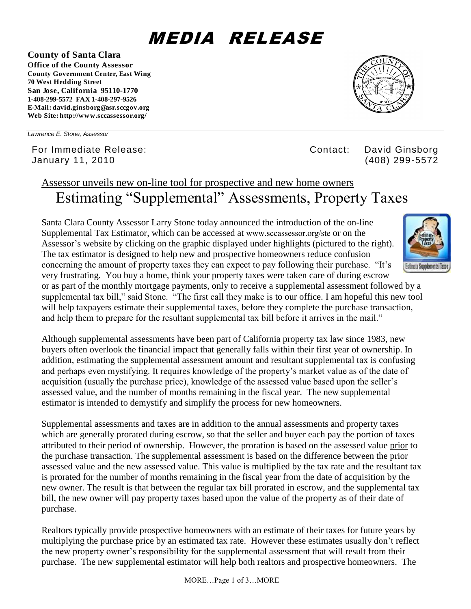# MEDIA RELEASE

**County of Santa Clara Office of the County Assessor County Government Center, East Wing 70 West Hedding Street San Jose, California 95110-1770**

**1-408-299-5572 FAX 1-408-297-9526 E-Mail: david.ginsborg@asr.sccgov.org Web Site: http://www.sccassessor.org/**

*Lawrence E. Stone, Assessor*

For Immediate Release: Contact: David Ginsborg January 11, 2010 (408) 299-5572

# Assessor unveils new on-line tool for prospective and new home owners Estimating "Supplemental" Assessments, Property Taxes

Santa Clara County Assessor Larry Stone today announced the introduction of the on-line Supplemental Tax Estimator, which can be accessed at [www.sccassessor.org/ste](http://www.sccassessor.org/ste) or on the Assessor's website by clicking on the graphic displayed under highlights (pictured to the right). The tax estimator is designed to help new and prospective homeowners reduce confusion concerning the amount of property taxes they can expect to pay following their purchase. "It's very frustrating. You buy a home, think your property taxes were taken care of during escrow or as part of the monthly mortgage payments, only to receive a supplemental assessment followed by a supplemental tax bill," said Stone. "The first call they make is to our office. I am hopeful this new tool will help taxpayers estimate their supplemental taxes, before they complete the purchase transaction, and help them to prepare for the resultant supplemental tax bill before it arrives in the mail."

Although supplemental assessments have been part of California property tax law since 1983, new buyers often overlook the financial impact that generally falls within their first year of ownership. In addition, estimating the supplemental assessment amount and resultant supplemental tax is confusing and perhaps even mystifying. It requires knowledge of the property's market value as of the date of acquisition (usually the purchase price), knowledge of the assessed value based upon the seller's assessed value, and the number of months remaining in the fiscal year. The new supplemental estimator is intended to demystify and simplify the process for new homeowners.

Supplemental assessments and taxes are in addition to the annual assessments and property taxes which are generally prorated during escrow, so that the seller and buyer each pay the portion of taxes attributed to their period of ownership. However, the proration is based on the assessed value prior to the purchase transaction. The supplemental assessment is based on the difference between the prior assessed value and the new assessed value. This value is multiplied by the tax rate and the resultant tax is prorated for the number of months remaining in the fiscal year from the date of acquisition by the new owner. The result is that between the regular tax bill prorated in escrow, and the supplemental tax bill, the new owner will pay property taxes based upon the value of the property as of their date of purchase.

Realtors typically provide prospective homeowners with an estimate of their taxes for future years by multiplying the purchase price by an estimated tax rate. However these estimates usually don't reflect the new property owner's responsibility for the supplemental assessment that will result from their purchase. The new supplemental estimator will help both realtors and prospective homeowners. The



**Estimate Supplemental Taxes** 

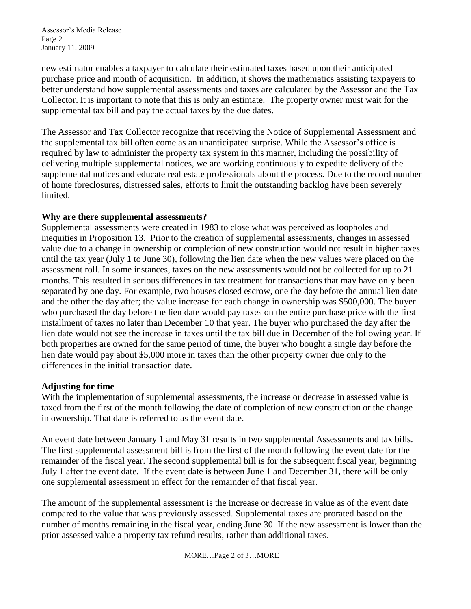Assessor's Media Release Page 2 January 11, 2009

new estimator enables a taxpayer to calculate their estimated taxes based upon their anticipated purchase price and month of acquisition. In addition, it shows the mathematics assisting taxpayers to better understand how supplemental assessments and taxes are calculated by the Assessor and the Tax Collector. It is important to note that this is only an estimate. The property owner must wait for the supplemental tax bill and pay the actual taxes by the due dates.

The Assessor and Tax Collector recognize that receiving the Notice of Supplemental Assessment and the supplemental tax bill often come as an unanticipated surprise. While the Assessor's office is required by law to administer the property tax system in this manner, including the possibility of delivering multiple supplemental notices, we are working continuously to expedite delivery of the supplemental notices and educate real estate professionals about the process. Due to the record number of home foreclosures, distressed sales, efforts to limit the outstanding backlog have been severely limited.

#### **Why are there supplemental assessments?**

Supplemental assessments were created in 1983 to close what was perceived as loopholes and inequities in Proposition 13. Prior to the creation of supplemental assessments, changes in assessed value due to a change in ownership or completion of new construction would not result in higher taxes until the tax year (July 1 to June 30), following the lien date when the new values were placed on the assessment roll. In some instances, taxes on the new assessments would not be collected for up to 21 months. This resulted in serious differences in tax treatment for transactions that may have only been separated by one day. For example, two houses closed escrow, one the day before the annual lien date and the other the day after; the value increase for each change in ownership was \$500,000. The buyer who purchased the day before the lien date would pay taxes on the entire purchase price with the first installment of taxes no later than December 10 that year. The buyer who purchased the day after the lien date would not see the increase in taxes until the tax bill due in December of the following year. If both properties are owned for the same period of time, the buyer who bought a single day before the lien date would pay about \$5,000 more in taxes than the other property owner due only to the differences in the initial transaction date.

#### **Adjusting for time**

With the implementation of supplemental assessments, the increase or decrease in assessed value is taxed from the first of the month following the date of completion of new construction or the change in ownership. That date is referred to as the event date.

An event date between January 1 and May 31 results in two supplemental Assessments and tax bills. The first supplemental assessment bill is from the first of the month following the event date for the remainder of the fiscal year. The second supplemental bill is for the subsequent fiscal year, beginning July 1 after the event date. If the event date is between June 1 and December 31, there will be only one supplemental assessment in effect for the remainder of that fiscal year.

The amount of the supplemental assessment is the increase or decrease in value as of the event date compared to the value that was previously assessed. Supplemental taxes are prorated based on the number of months remaining in the fiscal year, ending June 30. If the new assessment is lower than the prior assessed value a property tax refund results, rather than additional taxes.